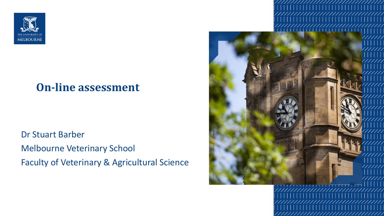

#### **On-line assessment**

Dr Stuart Barber Melbourne Veterinary School Faculty of Veterinary & Agricultural Science

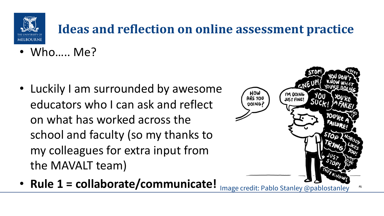

# **Ideas and reflection on online assessment practice**

• Who….. Me?

• Luckily I am surrounded by awesome educators who I can ask and reflect on what has worked across the school and faculty (so my thanks to my colleagues for extra input from the MAVALT team)



• **Rule 1 = collaborate/communicate!**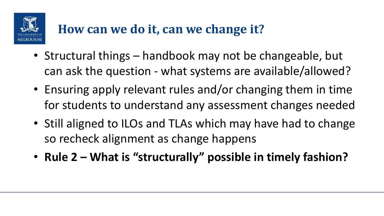

## How can we do it, can we change it?

- Structural things handbook may not be changeable, but can ask the question - what systems are available/allowed?
- Ensuring apply relevant rules and/or changing them in time for students to understand any assessment changes needed
- Still aligned to ILOs and TLAs which may have had to change so recheck alignment as change happens
- **Rule 2 – What is "structurally" possible in timely fashion?**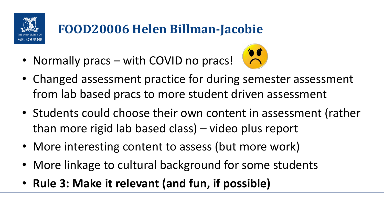

# **FOOD20006 Helen Billman-Jacobie**

• Normally pracs – with COVID no pracs!



- Changed assessment practice for during semester assessment from lab based pracs to more student driven assessment
- Students could choose their own content in assessment (rather than more rigid lab based class) – video plus report
- More interesting content to assess (but more work)
- More linkage to cultural background for some students
- **Rule 3: Make it relevant (and fun, if possible)**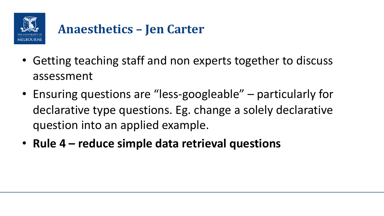

### **Anaesthetics – Jen Carter**

- Getting teaching staff and non experts together to discuss assessment
- Ensuring questions are "less-googleable" particularly for declarative type questions. Eg. change a solely declarative question into an applied example.
- **Rule 4 – reduce simple data retrieval questions**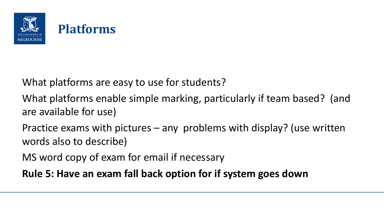

# **Platforms**

What platforms are easy to use for students?

What platforms enable simple marking, particularly if team based? (and are available for use)

Practice exams with pictures – any problems with display? (use written words also to describe)

MS word copy of exam for email if necessary

**Rule 5: Have an exam fall back option for if system goes down**